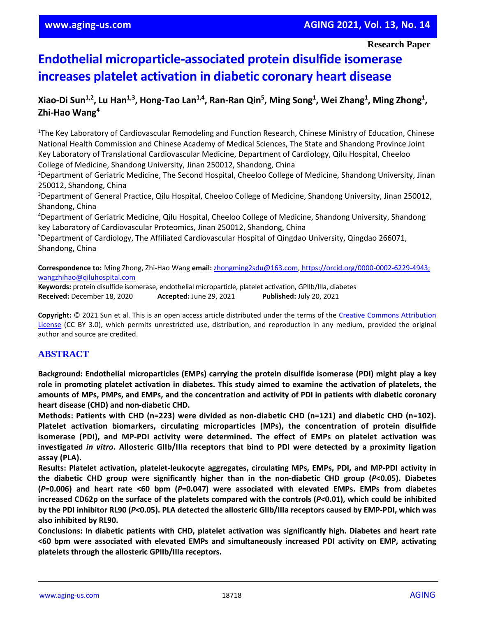**Research Paper**

# **Endothelial microparticle-associated protein disulfide isomerase increases platelet activation in diabetic coronary heart disease**

## **Xiao-Di Sun1,2, Lu Han1,3, Hong-Tao Lan1,4, Ran-Ran Qin<sup>5</sup> , Ming Song<sup>1</sup> , Wei Zhang<sup>1</sup> , Ming Zhong<sup>1</sup> , Zhi-Hao Wang<sup>4</sup>**

<sup>1</sup>The Key Laboratory of Cardiovascular Remodeling and Function Research, Chinese Ministry of Education, Chinese National Health Commission and Chinese Academy of Medical Sciences, The State and Shandong Province Joint Key Laboratory of Translational Cardiovascular Medicine, Department of Cardiology, Qilu Hospital, Cheeloo College of Medicine, Shandong University, Jinan 250012, Shandong, China

<sup>2</sup>Department of Geriatric Medicine, The Second Hospital, Cheeloo College of Medicine, Shandong University, Jinan 250012, Shandong, China

<sup>3</sup>Department of General Practice, Qilu Hospital, Cheeloo College of Medicine, Shandong University, Jinan 250012, Shandong, China

<sup>4</sup>Department of Geriatric Medicine, Qilu Hospital, Cheeloo College of Medicine, Shandong University, Shandong key Laboratory of Cardiovascular Proteomics, Jinan 250012, Shandong, China

<sup>5</sup>Department of Cardiology, The Affiliated Cardiovascular Hospital of Qingdao University, Qingdao 266071, Shandong, China

**Correspondence to:** Ming Zhong, Zhi-Hao Wang **email:** [zhongming2sdu@163.com,](mailto:zhongming2sdu@163.com) [https://orcid.org/0000-0002-6229-4943;](https://orcid.org/0000-0002-6229-4943;%20wangzhihao@qiluhospital.com)  [wangzhihao@qiluhospital.com](https://orcid.org/0000-0002-6229-4943;%20wangzhihao@qiluhospital.com)

**Keywords:** protein disulfide isomerase, endothelial microparticle, platelet activation, GPIIb/IIIa, diabetes **Received:** December 18, 2020 **Accepted:** June 29, 2021 **Published:** July 20, 2021

**Copyright:** © 2021 Sun et al. This is an open access article distributed under the terms of the [Creative Commons Attribution](https://creativecommons.org/licenses/by/3.0/)  [License](https://creativecommons.org/licenses/by/3.0/) (CC BY 3.0), which permits unrestricted use, distribution, and reproduction in any medium, provided the original author and source are credited.

## **ABSTRACT**

**Background: Endothelial microparticles (EMPs) carrying the protein disulfide isomerase (PDI) might play a key** role in promoting platelet activation in diabetes. This study aimed to examine the activation of platelets, the amounts of MPs, PMPs, and EMPs, and the concentration and activity of PDI in patients with diabetic coronary **heart disease (CHD) and non-diabetic CHD.**

**Methods: Patients with CHD (n=223) were divided as non-diabetic CHD (n=121) and diabetic CHD (n=102). Platelet activation biomarkers, circulating microparticles (MPs), the concentration of protein disulfide isomerase (PDI), and MP-PDI activity were determined. The effect of EMPs on platelet activation was** investigated in vitro. Allosteric GIIb/IIIa receptors that bind to PDI were detected by a proximity ligation **assay (PLA).**

**Results: Platelet activation, platelet-leukocyte aggregates, circulating MPs, EMPs, PDI, and MP-PDI activity in the diabetic CHD group were significantly higher than in the non-diabetic CHD group (***P***<0.05). Diabetes**  $(P=0.006)$  and heart rate <60 bpm  $(P=0.047)$  were associated with elevated EMPs. EMPs from diabetes increased CD62p on the surface of the platelets compared with the controls ( $P<0.01$ ), which could be inhibited by the PDI inhibitor RL90 (P<0.05). PLA detected the allosteric GIIb/IIIa receptors caused by EMP-PDI, which was **also inhibited by RL90.**

**Conclusions: In diabetic patients with CHD, platelet activation was significantly high. Diabetes and heart rate <60 bpm were associated with elevated EMPs and simultaneously increased PDI activity on EMP, activating platelets through the allosteric GPIIb/IIIa receptors.**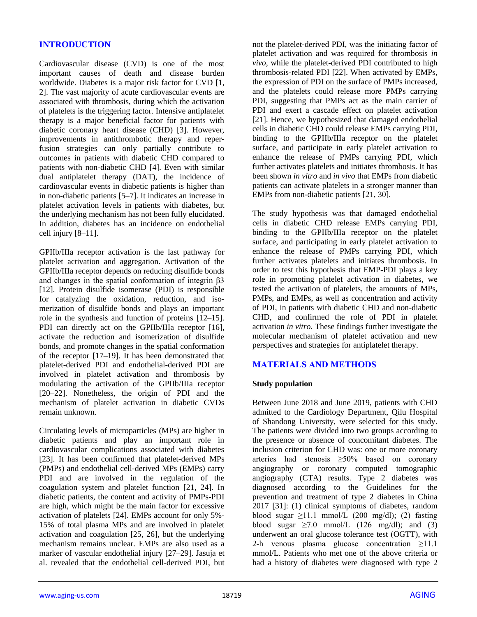## **INTRODUCTION**

Cardiovascular disease (CVD) is one of the most important causes of death and disease burden worldwide. Diabetes is a major risk factor for CVD [1, 2]. The vast majority of acute cardiovascular events are associated with thrombosis, during which the activation of platelets is the triggering factor. Intensive antiplatelet therapy is a major beneficial factor for patients with diabetic coronary heart disease (CHD) [3]. However, improvements in antithrombotic therapy and reperfusion strategies can only partially contribute to outcomes in patients with diabetic CHD compared to patients with non-diabetic CHD [4]. Even with similar dual antiplatelet therapy (DAT), the incidence of cardiovascular events in diabetic patients is higher than in non-diabetic patients [5–7]. It indicates an increase in platelet activation levels in patients with diabetes, but the underlying mechanism has not been fully elucidated. In addition, diabetes has an incidence on endothelial cell injury [8–11].

GPIIb/IIIa receptor activation is the last pathway for platelet activation and aggregation. Activation of the GPIIb/IIIa receptor depends on reducing disulfide bonds and changes in the spatial conformation of integrin β3 [12]. Protein disulfide isomerase (PDI) is responsible for catalyzing the oxidation, reduction, and isomerization of disulfide bonds and plays an important role in the synthesis and function of proteins [12–15]. PDI can directly act on the GPIIb/IIIa receptor [16]. activate the reduction and isomerization of disulfide bonds, and promote changes in the spatial conformation of the receptor [17–19]. It has been demonstrated that platelet-derived PDI and endothelial-derived PDI are involved in platelet activation and thrombosis by modulating the activation of the GPIIb/IIIa receptor [20–22]. Nonetheless, the origin of PDI and the mechanism of platelet activation in diabetic CVDs remain unknown.

Circulating levels of microparticles (MPs) are higher in diabetic patients and play an important role in cardiovascular complications associated with diabetes [23]. It has been confirmed that platelet-derived MPs (PMPs) and endothelial cell-derived MPs (EMPs) carry PDI and are involved in the regulation of the coagulation system and platelet function [21, 24]. In diabetic patients, the content and activity of PMPs-PDI are high, which might be the main factor for excessive activation of platelets [24]. EMPs account for only 5%- 15% of total plasma MPs and are involved in platelet activation and coagulation [25, 26], but the underlying mechanism remains unclear. EMPs are also used as a marker of vascular endothelial injury [27–29]. Jasuja et al. revealed that the endothelial cell-derived PDI, but

not the platelet-derived PDI, was the initiating factor of platelet activation and was required for thrombosis *in vivo*, while the platelet-derived PDI contributed to high thrombosis-related PDI [22]. When activated by EMPs, the expression of PDI on the surface of PMPs increased, and the platelets could release more PMPs carrying PDI, suggesting that PMPs act as the main carrier of PDI and exert a cascade effect on platelet activation [21]. Hence, we hypothesized that damaged endothelial cells in diabetic CHD could release EMPs carrying PDI, binding to the GPIIb/IIIa receptor on the platelet surface, and participate in early platelet activation to enhance the release of PMPs carrying PDI, which further activates platelets and initiates thrombosis. It has been shown *in vitro* and *in vivo* that EMPs from diabetic patients can activate platelets in a stronger manner than EMPs from non-diabetic patients [21, 30].

The study hypothesis was that damaged endothelial cells in diabetic CHD release EMPs carrying PDI, binding to the GPIIb/IIIa receptor on the platelet surface, and participating in early platelet activation to enhance the release of PMPs carrying PDI, which further activates platelets and initiates thrombosis. In order to test this hypothesis that EMP-PDI plays a key role in promoting platelet activation in diabetes, we tested the activation of platelets, the amounts of MPs, PMPs, and EMPs, as well as concentration and activity of PDI, in patients with diabetic CHD and non-diabetic CHD, and confirmed the role of PDI in platelet activation *in vitro*. These findings further investigate the molecular mechanism of platelet activation and new perspectives and strategies for antiplatelet therapy.

## **MATERIALS AND METHODS**

#### **Study population**

Between June 2018 and June 2019, patients with CHD admitted to the Cardiology Department, Qilu Hospital of Shandong University, were selected for this study. The patients were divided into two groups according to the presence or absence of concomitant diabetes. The inclusion criterion for CHD was: one or more coronary arteries had stenosis ≥50% based on coronary angiography or coronary computed tomographic angiography (CTA) results. Type 2 diabetes was diagnosed according to the Guidelines for the prevention and treatment of type 2 diabetes in China 2017 [31]: (1) clinical symptoms of diabetes, random blood sugar  $\geq$ 11.1 mmol/L (200 mg/dl); (2) fasting blood sugar  $\geq 7.0$  mmol/L (126 mg/dl); and (3) underwent an oral glucose tolerance test (OGTT), with 2-h venous plasma glucose concentration ≥11.1 mmol/L. Patients who met one of the above criteria or had a history of diabetes were diagnosed with type 2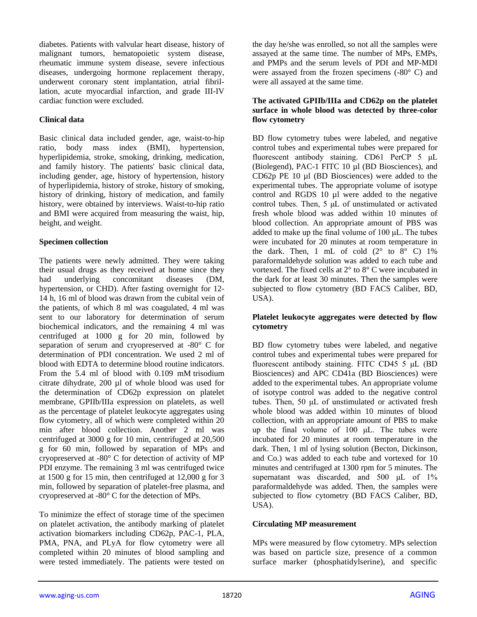diabetes. Patients with valvular heart disease, history of malignant tumors, hematopoietic system disease, rheumatic immune system disease, severe infectious diseases, undergoing hormone replacement therapy, underwent coronary stent implantation, atrial fibrillation, acute myocardial infarction, and grade III-IV cardiac function were excluded.

## **Clinical data**

Basic clinical data included gender, age, waist-to-hip ratio, body mass index (BMI), hypertension, hyperlipidemia, stroke, smoking, drinking, medication, and family history. The patients' basic clinical data, including gender, age, history of hypertension, history of hyperlipidemia, history of stroke, history of smoking, history of drinking, history of medication, and family history, were obtained by interviews. Waist-to-hip ratio and BMI were acquired from measuring the waist, hip, height, and weight.

#### **Specimen collection**

The patients were newly admitted. They were taking their usual drugs as they received at home since they had underlying concomitant diseases (DM, hypertension, or CHD). After fasting overnight for 12- 14 h, 16 ml of blood was drawn from the cubital vein of the patients, of which 8 ml was coagulated, 4 ml was sent to our laboratory for determination of serum biochemical indicators, and the remaining 4 ml was centrifuged at 1000 g for 20 min, followed by separation of serum and cryopreserved at -80° C for determination of PDI concentration. We used 2 ml of blood with EDTA to determine blood routine indicators. From the 5.4 ml of blood with 0.109 mM trisodium citrate dihydrate, 200 µl of whole blood was used for the determination of CD62p expression on platelet membrane, GPIIb/IIIa expression on platelets, as well as the percentage of platelet leukocyte aggregates using flow cytometry, all of which were completed within 20 min after blood collection. Another 2 ml was centrifuged at 3000 g for 10 min, centrifuged at 20,500 g for 60 min, followed by separation of MPs and cryopreserved at -80° C for detection of activity of MP PDI enzyme. The remaining 3 ml was centrifuged twice at 1500 g for 15 min, then centrifuged at 12,000 g for 3 min, followed by separation of platelet-free plasma, and cryopreserved at -80° C for the detection of MPs.

To minimize the effect of storage time of the specimen on platelet activation, the antibody marking of platelet activation biomarkers including CD62p, PAC-1, PLA, PMA, PNA, and PLyA for flow cytometry were all completed within 20 minutes of blood sampling and were tested immediately. The patients were tested on

the day he/she was enrolled, so not all the samples were assayed at the same time. The number of MPs, EMPs, and PMPs and the serum levels of PDI and MP-MDI were assayed from the frozen specimens (-80° C) and were all assayed at the same time.

#### **The activated GPIIb/IIIa and CD62p on the platelet surface in whole blood was detected by three-color flow cytometry**

BD flow cytometry tubes were labeled, and negative control tubes and experimental tubes were prepared for fluorescent antibody staining. CD61 PerCP 5 μL (Biolegend), PAC-1 FITC 10 µl (BD Biosciences), and CD62p PE 10 µl (BD Biosciences) were added to the experimental tubes. The appropriate volume of isotype control and RGDS 10 µl were added to the negative control tubes. Then, 5 μL of unstimulated or activated fresh whole blood was added within 10 minutes of blood collection. An appropriate amount of PBS was added to make up the final volume of 100 μL. The tubes were incubated for 20 minutes at room temperature in the dark. Then, 1 mL of cold  $(2^{\circ}$  to  $8^{\circ}$  C) 1% paraformaldehyde solution was added to each tube and vortexed. The fixed cells at 2° to 8° C were incubated in the dark for at least 30 minutes. Then the samples were subjected to flow cytometry (BD FACS Caliber, BD, USA).

## **Platelet leukocyte aggregates were detected by flow cytometry**

BD flow cytometry tubes were labeled, and negative control tubes and experimental tubes were prepared for fluorescent antibody staining. FITC CD45 5 μL (BD Biosciences) and APC CD41a (BD Biosciences) were added to the experimental tubes. An appropriate volume of isotype control was added to the negative control tubes. Then, 50 μL of unstimulated or activated fresh whole blood was added within 10 minutes of blood collection, with an appropriate amount of PBS to make up the final volume of 100 μL. The tubes were incubated for 20 minutes at room temperature in the dark. Then, 1 ml of lysing solution (Becton, Dickinson, and Co.) was added to each tube and vortexed for 10 minutes and centrifuged at 1300 rpm for 5 minutes. The supernatant was discarded, and 500 μL of 1% paraformaldehyde was added. Then, the samples were subjected to flow cytometry (BD FACS Caliber, BD, USA).

## **Circulating MP measurement**

MPs were measured by flow cytometry. MPs selection was based on particle size, presence of a common surface marker (phosphatidylserine), and specific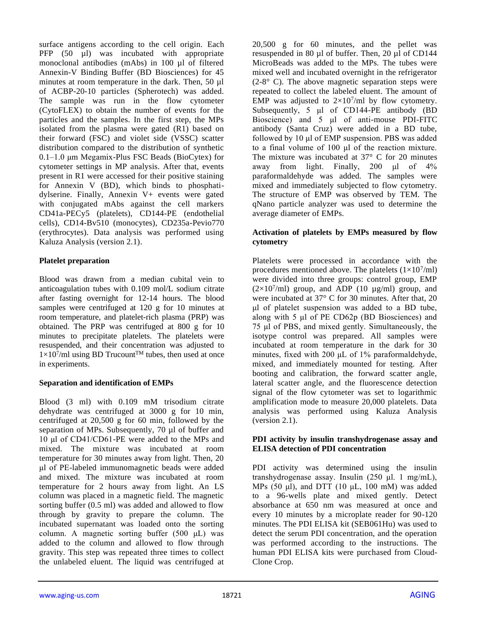surface antigens according to the cell origin. Each PFP (50 µl) was incubated with appropriate monoclonal antibodies (mAbs) in 100 µl of filtered Annexin-V Binding Buffer (BD Biosciences) for 45 minutes at room temperature in the dark. Then, 50  $\mu$ 1 of ACBP-20-10 particles (Spherotech) was added. The sample was run in the flow cytometer (CytoFLEX) to obtain the number of events for the particles and the samples. In the first step, the MPs isolated from the plasma were gated (R1) based on their forward (FSC) and violet side (VSSC) scatter distribution compared to the distribution of synthetic 0.1–1.0 μm Megamix-Plus FSC Beads (BioCytex) for cytometer settings in MP analysis. After that, events present in R1 were accessed for their positive staining for Annexin V (BD), which binds to phosphatidylserine. Finally, Annexin V+ events were gated with conjugated mAbs against the cell markers CD41a-PECy5 (platelets), CD144-PE (endothelial cells), CD14-Bv510 (monocytes), CD235a-Pevio770 (erythrocytes). Data analysis was performed using Kaluza Analysis (version 2.1).

## **Platelet preparation**

Blood was drawn from a median cubital vein to anticoagulation tubes with 0.109 mol/L sodium citrate after fasting overnight for 12-14 hours. The blood samples were centrifuged at 120 g for 10 minutes at room temperature, and platelet-rich plasma (PRP) was obtained. The PRP was centrifuged at 800 g for 10 minutes to precipitate platelets. The platelets were resuspended, and their concentration was adjusted to  $1 \times 10^7$ /ml using BD Trucount<sup>TM</sup> tubes, then used at once in experiments.

## **Separation and identification of EMPs**

Blood (3 ml) with 0.109 mM trisodium citrate dehydrate was centrifuged at 3000 g for 10 min, centrifuged at 20,500 g for 60 min, followed by the separation of MPs. Subsequently, 70 µl of buffer and 10 μl of CD41/CD61-PE were added to the MPs and mixed. The mixture was incubated at room temperature for 30 minutes away from light. Then, 20 μl of PE-labeled immunomagnetic beads were added and mixed. The mixture was incubated at room temperature for 2 hours away from light. An LS column was placed in a magnetic field. The magnetic sorting buffer (0.5 ml) was added and allowed to flow through by gravity to prepare the column. The incubated supernatant was loaded onto the sorting column. A magnetic sorting buffer (500 μL) was added to the column and allowed to flow through gravity. This step was repeated three times to collect the unlabeled eluent. The liquid was centrifuged at 20,500 g for 60 minutes, and the pellet was resuspended in 80 µl of buffer. Then, 20 µl of CD144 MicroBeads was added to the MPs. The tubes were mixed well and incubated overnight in the refrigerator  $(2-8° \text{ C})$ . The above magnetic separation steps were repeated to collect the labeled eluent. The amount of EMP was adjusted to  $2\times10^7$ /ml by flow cytometry. Subsequently, 5 μl of CD144-PE antibody (BD Bioscience) and 5 μl of anti-mouse PDI-FITC antibody (Santa Cruz) were added in a BD tube, followed by 10 μl of EMP suspension. PBS was added to a final volume of 100 μl of the reaction mixture. The mixture was incubated at 37° C for 20 minutes away from light. Finally, 200 μl of 4% paraformaldehyde was added. The samples were mixed and immediately subjected to flow cytometry. The structure of EMP was observed by TEM. The qNano particle analyzer was used to determine the average diameter of EMPs.

## **Activation of platelets by EMPs measured by flow cytometry**

Platelets were processed in accordance with the procedures mentioned above. The platelets  $(1 \times 10^7/\text{ml})$ were divided into three groups: control group, EMP  $(2\times10^7/\text{ml})$  group, and ADP (10  $\mu$ g/ml) group, and were incubated at 37° C for 30 minutes. After that, 20 μl of platelet suspension was added to a BD tube, along with 5 μl of PE CD62p (BD Biosciences) and 75 μl of PBS, and mixed gently. Simultaneously, the isotype control was prepared. All samples were incubated at room temperature in the dark for 30 minutes, fixed with 200 μL of 1% paraformaldehyde, mixed, and immediately mounted for testing. After booting and calibration, the forward scatter angle, lateral scatter angle, and the fluorescence detection signal of the flow cytometer was set to logarithmic amplification mode to measure 20,000 platelets. Data analysis was performed using Kaluza Analysis (version 2.1).

## **PDI activity by insulin transhydrogenase assay and ELISA detection of PDI concentration**

PDI activity was determined using the insulin transhydrogenase assay. Insulin (250 μl. 1 mg/mL), MPs (50  $\mu$ l), and DTT (10  $\mu$ L, 100 mM) was added to a 96-wells plate and mixed gently. Detect absorbance at 650 nm was measured at once and every 10 minutes by a microplate reader for 90-120 minutes. The PDI ELISA kit (SEB061Hu) was used to detect the serum PDI concentration, and the operation was performed according to the instructions. The human PDI ELISA kits were purchased from Cloud-Clone Crop.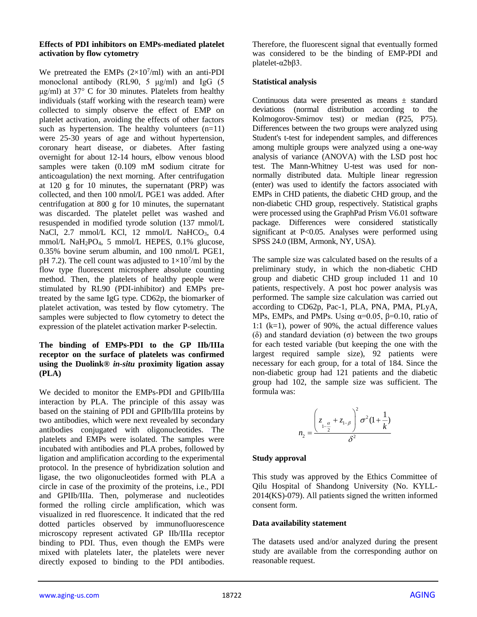#### **Effects of PDI inhibitors on EMPs-mediated platelet activation by flow cytometry**

We pretreated the EMPs  $(2\times10^7/\text{ml})$  with an anti-PDI monoclonal antibody (RL90, 5 μg/ml) and IgG (5 μg/ml) at 37 $\degree$  C for 30 minutes. Platelets from healthy individuals (staff working with the research team) were collected to simply observe the effect of EMP on platelet activation, avoiding the effects of other factors such as hypertension. The healthy volunteers  $(n=11)$ were 25-30 years of age and without hypertension, coronary heart disease, or diabetes. After fasting overnight for about 12-14 hours, elbow venous blood samples were taken (0.109 mM sodium citrate for anticoagulation) the next morning. After centrifugation at 120 g for 10 minutes, the supernatant (PRP) was collected, and then 100 nmol/L PGE1 was added. After centrifugation at 800 g for 10 minutes, the supernatant was discarded. The platelet pellet was washed and resuspended in modified tyrode solution (137 mmol/L NaCl, 2.7 mmol/L KCl, 12 mmol/L NaHCO<sub>3</sub>, 0.4 mmol/L NaH2PO4, 5 mmol/L HEPES, 0.1% glucose, 0.35% bovine serum albumin, and 100 nmol/L PGE1, pH 7.2). The cell count was adjusted to  $1 \times 10^7$ /ml by the flow type fluorescent microsphere absolute counting method. Then, the platelets of healthy people were stimulated by RL90 (PDI-inhibitor) and EMPs pretreated by the same IgG type. CD62p, the biomarker of platelet activation, was tested by flow cytometry. The samples were subjected to flow cytometry to detect the expression of the platelet activation marker P-selectin.

## **The binding of EMPs-PDI to the GP IIb/IIIa receptor on the surface of platelets was confirmed using the Duolink®** *in-situ* **proximity ligation assay (PLA)**

We decided to monitor the EMPs-PDI and GPIIb/IIIa interaction by PLA. The principle of this assay was based on the staining of PDI and GPIIb/IIIa proteins by two antibodies, which were next revealed by secondary antibodies conjugated with oligonucleotides. The platelets and EMPs were isolated. The samples were incubated with antibodies and PLA probes, followed by ligation and amplification according to the experimental protocol. In the presence of hybridization solution and ligase, the two oligonucleotides formed with PLA a circle in case of the proximity of the proteins, i.e., PDI and GPIIb/IIIa. Then, polymerase and nucleotides formed the rolling circle amplification, which was visualized in red fluorescence. It indicated that the red dotted particles observed by immunofluorescence microscopy represent activated GP IIb/IIIa receptor binding to PDI. Thus, even though the EMPs were mixed with platelets later, the platelets were never directly exposed to binding to the PDI antibodies.

Therefore, the fluorescent signal that eventually formed was considered to be the binding of EMP-PDI and platelet-α2bβ3.

## **Statistical analysis**

Continuous data were presented as means  $\pm$  standard deviations (normal distribution according to the Kolmogorov-Smirnov test) or median (P25, P75). Differences between the two groups were analyzed using Student's t-test for independent samples, and differences among multiple groups were analyzed using a one-way analysis of variance (ANOVA) with the LSD post hoc test. The Mann-Whitney U-test was used for nonnormally distributed data. Multiple linear regression (enter) was used to identify the factors associated with EMPs in CHD patients, the diabetic CHD group, and the non-diabetic CHD group, respectively. Statistical graphs were processed using the GraphPad Prism V6.01 software package. Differences were considered statistically significant at P<0.05. Analyses were performed using SPSS 24.0 (IBM, Armonk, NY, USA).

The sample size was calculated based on the results of a preliminary study, in which the non-diabetic CHD group and diabetic CHD group included 11 and 10 patients, respectively. A post hoc power analysis was performed. The sample size calculation was carried out according to CD62p, Pac-1, PLA, PNA, PMA, PLyA, MPs, EMPs, and PMPs. Using  $\alpha=0.05$ ,  $\beta=0.10$ , ratio of 1:1 (k=1), power of 90%, the actual difference values (δ) and standard deviation (σ) between the two groups for each tested variable (but keeping the one with the largest required sample size), 92 patients were necessary for each group, for a total of 184. Since the non-diabetic group had 121 patients and the diabetic group had 102, the sample size was sufficient. The formula was:

$$
n_2 = \frac{\left(z_{1-\frac{\alpha}{2}} + z_{1-\beta}\right)^2 \sigma^2 (1 + \frac{1}{k})}{\delta^2}
$$

## **Study approval**

This study was approved by the Ethics Committee of Qilu Hospital of Shandong University (No. KYLL-2014(KS)-079). All patients signed the written informed consent form.

## **Data availability statement**

The datasets used and/or analyzed during the present study are available from the corresponding author on reasonable request.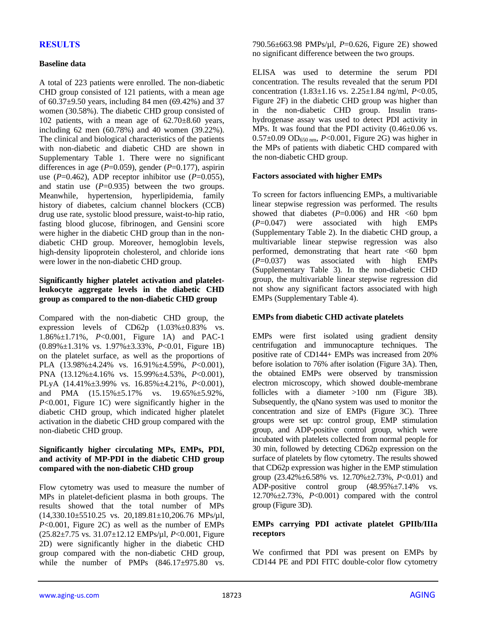## **RESULTS**

#### **Baseline data**

A total of 223 patients were enrolled. The non-diabetic CHD group consisted of 121 patients, with a mean age of 60.37±9.50 years, including 84 men (69.42%) and 37 women (30.58%). The diabetic CHD group consisted of 102 patients, with a mean age of 62.70±8.60 years, including 62 men (60.78%) and 40 women (39.22%). The clinical and biological characteristics of the patients with non-diabetic and diabetic CHD are shown in Supplementary Table 1. There were no significant differences in age (*P*=0.059), gender (*P*=0.177), aspirin use  $(P=0.462)$ , ADP receptor inhibitor use  $(P=0.055)$ , and statin use  $(P=0.935)$  between the two groups. Meanwhile, hypertension, hyperlipidemia, family history of diabetes, calcium channel blockers (CCB) drug use rate, systolic blood pressure, waist-to-hip ratio, fasting blood glucose, fibrinogen, and Gensini score were higher in the diabetic CHD group than in the nondiabetic CHD group. Moreover, hemoglobin levels, high-density lipoprotein cholesterol, and chloride ions were lower in the non-diabetic CHD group.

## **Significantly higher platelet activation and plateletleukocyte aggregate levels in the diabetic CHD group as compared to the non-diabetic CHD group**

Compared with the non-diabetic CHD group, the expression levels of CD62p (1.03%±0.83% vs. 1.86%±1.71%, *P*<0.001, Figure 1A) and PAC-1 (0.89%±1.31% vs. 1.97%±3.33%, *P*<0.01, Figure 1B) on the platelet surface, as well as the proportions of PLA (13.98%±4.24% vs. 16.91%±4.59%, *P*<0.001), PNA (13.12%±4.16% vs. 15.99%±4.53%, *P*<0.001), PLyA (14.41%±3.99% vs. 16.85%±4.21%, *P*<0.001), and PMA (15.15%±5.17% vs. 19.65%±5.92%, *P*<0.001, Figure 1C) were significantly higher in the diabetic CHD group, which indicated higher platelet activation in the diabetic CHD group compared with the non-diabetic CHD group.

#### **Significantly higher circulating MPs, EMPs, PDI, and activity of MP-PDI in the diabetic CHD group compared with the non-diabetic CHD group**

Flow cytometry was used to measure the number of MPs in platelet-deficient plasma in both groups. The results showed that the total number of MPs  $(14,330.10\pm5510.25 \text{ vs. } 20,189.81\pm10,206.76 \text{ MPs/µl},$ *P*<0.001, Figure 2C) as well as the number of EMPs (25.82±7.75 vs. 31.07±12.12 EMPs/µl, *P*<0.001, Figure 2D) were significantly higher in the diabetic CHD group compared with the non-diabetic CHD group, while the number of PMPs  $(846.17 \pm 975.80 \text{ vs.}$  790.56±663.98 PMPs/µl, *P*=0.626, Figure 2E) showed no significant difference between the two groups.

ELISA was used to determine the serum PDI concentration. The results revealed that the serum PDI concentration (1.83±1.16 vs. 2.25±1.84 ng/ml, *P*<0.05, Figure 2F) in the diabetic CHD group was higher than in the non-diabetic CHD group. Insulin transhydrogenase assay was used to detect PDI activity in MPs. It was found that the PDI activity (0.46±0.06 vs. 0.57±0.09 OD650 nm, *P*<0.001, Figure 2G) was higher in the MPs of patients with diabetic CHD compared with the non-diabetic CHD group.

#### **Factors associated with higher EMPs**

To screen for factors influencing EMPs, a multivariable linear stepwise regression was performed. The results showed that diabetes  $(P=0.006)$  and HR  $\leq 60$  bpm (*P*=0.047) were associated with high EMPs (Supplementary Table 2). In the diabetic CHD group, a multivariable linear stepwise regression was also performed, demonstrating that heart rate  $\leq 60$  bpm (*P*=0.037) was associated with high EMPs (Supplementary Table 3). In the non-diabetic CHD group, the multivariable linear stepwise regression did not show any significant factors associated with high EMPs (Supplementary Table 4).

## **EMPs from diabetic CHD activate platelets**

EMPs were first isolated using gradient density centrifugation and immunocapture techniques. The positive rate of CD144+ EMPs was increased from 20% before isolation to 76% after isolation (Figure 3A). Then, the obtained EMPs were observed by transmission electron microscopy, which showed double-membrane follicles with a diameter >100 nm (Figure 3B). Subsequently, the qNano system was used to monitor the concentration and size of EMPs (Figure 3C). Three groups were set up: control group, EMP stimulation group, and ADP-positive control group, which were incubated with platelets collected from normal people for 30 min, followed by detecting CD62p expression on the surface of platelets by flow cytometry. The results showed that CD62p expression was higher in the EMP stimulation group (23.42%±6.58% vs. 12.70%±2.73%, *P*<0.01) and ADP-positive control group (48.95%±7.14% vs. 12.70%±2.73%, *P*<0.001) compared with the control group (Figure 3D).

## **EMPs carrying PDI activate platelet GPIIb/IIIa receptors**

We confirmed that PDI was present on EMPs by CD144 PE and PDI FITC double-color flow cytometry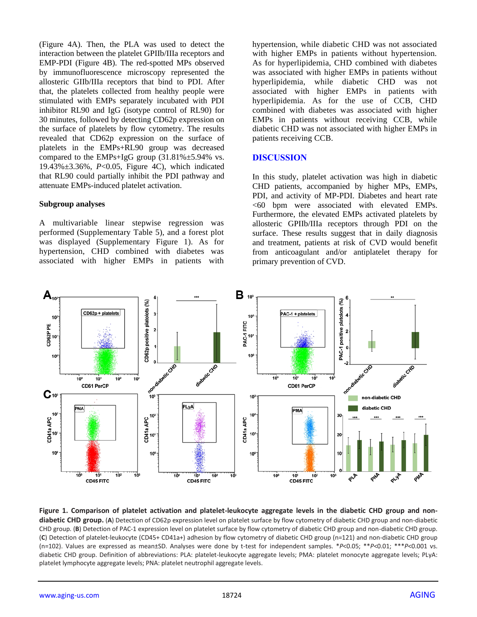(Figure 4A). Then, the PLA was used to detect the interaction between the platelet GPIIb/IIIa receptors and EMP-PDI (Figure 4B). The red-spotted MPs observed by immunofluorescence microscopy represented the allosteric GIIb/IIIa receptors that bind to PDI. After that, the platelets collected from healthy people were stimulated with EMPs separately incubated with PDI inhibitor RL90 and IgG (isotype control of RL90) for 30 minutes, followed by detecting CD62p expression on the surface of platelets by flow cytometry. The results revealed that CD62p expression on the surface of platelets in the EMPs+RL90 group was decreased compared to the EMPs+IgG group  $(31.81\% \pm 5.94\%$  vs. 19.43%±3.36%, *P*<0.05, Figure 4C), which indicated that RL90 could partially inhibit the PDI pathway and attenuate EMPs-induced platelet activation.

#### **Subgroup analyses**

A multivariable linear stepwise regression was performed (Supplementary Table 5), and a forest plot was displayed (Supplementary Figure 1). As for hypertension, CHD combined with diabetes was associated with higher EMPs in patients with hypertension, while diabetic CHD was not associated with higher EMPs in patients without hypertension. As for hyperlipidemia, CHD combined with diabetes was associated with higher EMPs in patients without hyperlipidemia, while diabetic CHD was not associated with higher EMPs in patients with hyperlipidemia. As for the use of CCB, CHD combined with diabetes was associated with higher EMPs in patients without receiving CCB, while diabetic CHD was not associated with higher EMPs in patients receiving CCB.

## **DISCUSSION**

In this study, platelet activation was high in diabetic CHD patients, accompanied by higher MPs, EMPs, PDI, and activity of MP-PDI. Diabetes and heart rate <60 bpm were associated with elevated EMPs. Furthermore, the elevated EMPs activated platelets by allosteric GPIIb/IIIa receptors through PDI on the surface. These results suggest that in daily diagnosis and treatment, patients at risk of CVD would benefit from anticoagulant and/or antiplatelet therapy for primary prevention of CVD.



**Figure 1. Comparison of platelet activation and platelet-leukocyte aggregate levels in the diabetic CHD group and nondiabetic CHD group.** (**A**) Detection of CD62p expression level on platelet surface by flow cytometry of diabetic CHD group and non-diabetic CHD group. (**B**) Detection of PAC-1 expression level on platelet surface by flow cytometry of diabetic CHD group and non-diabetic CHD group. (**C**) Detection of platelet-leukocyte (CD45+ CD41a+) adhesion by flow cytometry of diabetic CHD group (n=121) and non-diabetic CHD group (n=102). Values are expressed as mean±SD. Analyses were done by t-test for independent samples. \**P*<0.05; \*\**P*<0.01; \*\*\**P*<0.001 vs. diabetic CHD group. Definition of abbreviations: PLA: platelet-leukocyte aggregate levels; PMA: platelet monocyte aggregate levels; PLyA: platelet lymphocyte aggregate levels; PNA: platelet neutrophil aggregate levels.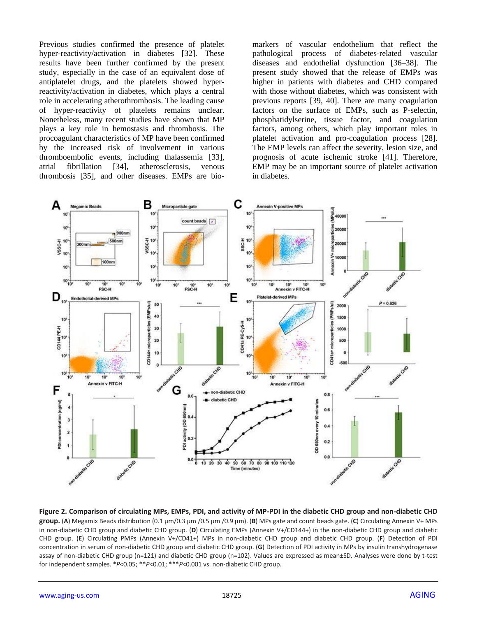Previous studies confirmed the presence of platelet hyper-reactivity/activation in diabetes [32]. These results have been further confirmed by the present study, especially in the case of an equivalent dose of antiplatelet drugs, and the platelets showed hyperreactivity/activation in diabetes, which plays a central role in accelerating atherothrombosis. The leading cause of hyper-reactivity of platelets remains unclear. Nonetheless, many recent studies have shown that MP plays a key role in hemostasis and thrombosis. The procoagulant characteristics of MP have been confirmed by the increased risk of involvement in various thromboembolic events, including thalassemia [33], atrial fibrillation [34], atherosclerosis, venous thrombosis [35], and other diseases. EMPs are biomarkers of vascular endothelium that reflect the pathological process of diabetes-related vascular diseases and endothelial dysfunction [36–38]. The present study showed that the release of EMPs was higher in patients with diabetes and CHD compared with those without diabetes, which was consistent with previous reports [39, 40]. There are many coagulation factors on the surface of EMPs, such as P-selectin, phosphatidylserine, tissue factor, and coagulation factors, among others, which play important roles in platelet activation and pro-coagulation process [28]. The EMP levels can affect the severity, lesion size, and prognosis of acute ischemic stroke [41]. Therefore, EMP may be an important source of platelet activation in diabetes.



**Figure 2. Comparison of circulating MPs, EMPs, PDI, and activity of MP-PDI in the diabetic CHD group and non-diabetic CHD group.** (**A**) Megamix Beads distribution (0.1 µm/0.3 µm /0.5 µm /0.9 µm). (**B**) MPs gate and count beads gate. (**C**) Circulating Annexin V+ MPs in non-diabetic CHD group and diabetic CHD group. (**D**) Circulating EMPs (Annexin V+/CD144+) in the non-diabetic CHD group and diabetic CHD group. (**E**) Circulating PMPs (Annexin V+/CD41+) MPs in non-diabetic CHD group and diabetic CHD group. (**F**) Detection of PDI concentration in serum of non-diabetic CHD group and diabetic CHD group. (**G**) Detection of PDI activity in MPs by insulin transhydrogenase assay of non-diabetic CHD group (n=121) and diabetic CHD group (n=102). Values are expressed as mean±SD. Analyses were done by t-test for independent samples. \**P*<0.05; \*\**P*<0.01; \*\*\**P*<0.001 vs. non-diabetic CHD group.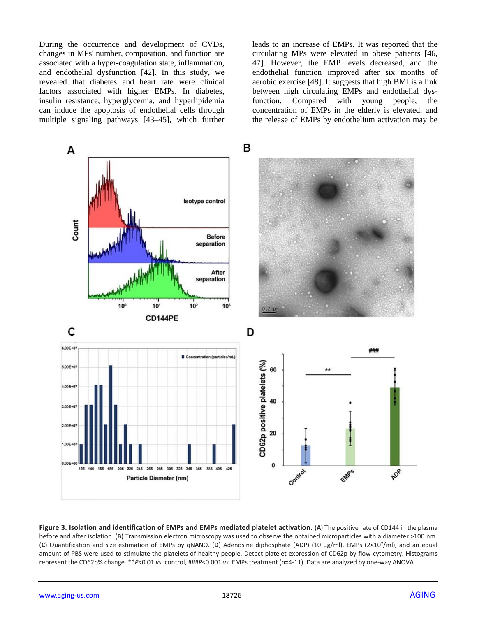During the occurrence and development of CVDs, changes in MPs' number, composition, and function are associated with a hyper-coagulation state, inflammation, and endothelial dysfunction [42]. In this study, we revealed that diabetes and heart rate were clinical factors associated with higher EMPs. In diabetes, insulin resistance, hyperglycemia, and hyperlipidemia can induce the apoptosis of endothelial cells through multiple signaling pathways [43–45], which further leads to an increase of EMPs. It was reported that the circulating MPs were elevated in obese patients [46, 47]. However, the EMP levels decreased, and the endothelial function improved after six months of aerobic exercise [48]. It suggests that high BMI is a link between high circulating EMPs and endothelial dysfunction. Compared with young people, the concentration of EMPs in the elderly is elevated, and the release of EMPs by endothelium activation may be



**Figure 3. Isolation and identification of EMPs and EMPs mediated platelet activation.** (**A**) The positive rate of CD144 in the plasma before and after isolation. (**B**) Transmission electron microscopy was used to observe the obtained microparticles with a diameter >100 nm. (**C**) Quantification and size estimation of EMPs by qNANO. (**D**) Adenosine diphosphate (ADP) (10 μg/ml), EMPs (2×10<sup>7</sup>/ml), and an equal amount of PBS were used to stimulate the platelets of healthy people. Detect platelet expression of CD62p by flow cytometry. Histograms represent the CD62p% change. \*\**P*<0.01 *vs.* control, ###*P*<0.001 *vs.* EMPs treatment (n=4-11). Data are analyzed by one-way ANOVA.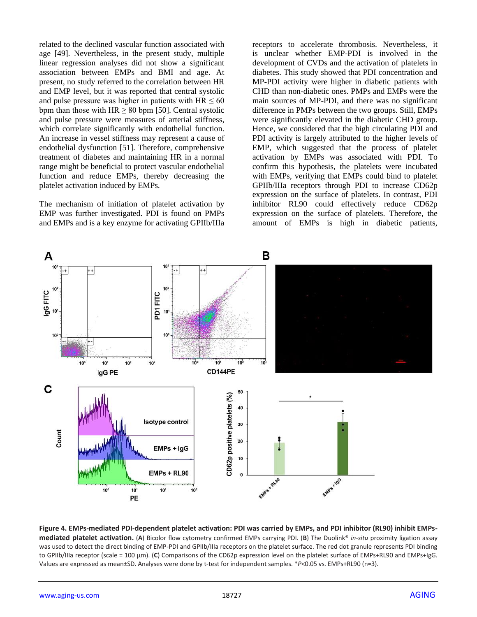related to the declined vascular function associated with age [49]. Nevertheless, in the present study, multiple linear regression analyses did not show a significant association between EMPs and BMI and age. At present, no study referred to the correlation between HR and EMP level, but it was reported that central systolic and pulse pressure was higher in patients with  $HR \leq 60$ bpm than those with  $HR \ge 80$  bpm [50]. Central systolic and pulse pressure were measures of arterial stiffness, which correlate significantly with endothelial function. An increase in vessel stiffness may represent a cause of endothelial dysfunction [51]. Therefore, comprehensive treatment of diabetes and maintaining HR in a normal range might be beneficial to protect vascular endothelial function and reduce EMPs, thereby decreasing the platelet activation induced by EMPs.

The mechanism of initiation of platelet activation by EMP was further investigated. PDI is found on PMPs and EMPs and is a key enzyme for activating GPIIb/IIIa receptors to accelerate thrombosis. Nevertheless, it is unclear whether EMP-PDI is involved in the development of CVDs and the activation of platelets in diabetes. This study showed that PDI concentration and MP-PDI activity were higher in diabetic patients with CHD than non-diabetic ones. PMPs and EMPs were the main sources of MP-PDI, and there was no significant difference in PMPs between the two groups. Still, EMPs were significantly elevated in the diabetic CHD group. Hence, we considered that the high circulating PDI and PDI activity is largely attributed to the higher levels of EMP, which suggested that the process of platelet activation by EMPs was associated with PDI. To confirm this hypothesis, the platelets were incubated with EMPs, verifying that EMPs could bind to platelet GPIIb/IIIa receptors through PDI to increase CD62p expression on the surface of platelets. In contrast, PDI inhibitor RL90 could effectively reduce CD62p expression on the surface of platelets. Therefore, the amount of EMPs is high in diabetic patients,



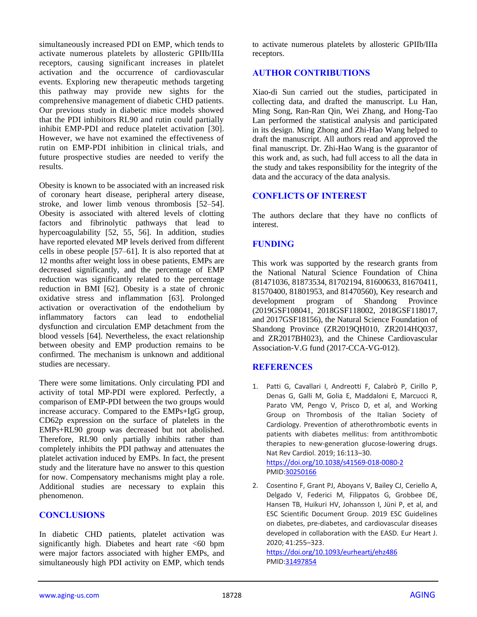simultaneously increased PDI on EMP, which tends to activate numerous platelets by allosteric GPIIb/IIIa receptors, causing significant increases in platelet activation and the occurrence of cardiovascular events. Exploring new therapeutic methods targeting this pathway may provide new sights for the comprehensive management of diabetic CHD patients. Our previous study in diabetic mice models showed that the PDI inhibitors RL90 and rutin could partially inhibit EMP-PDI and reduce platelet activation [30]. However, we have not examined the effectiveness of rutin on EMP-PDI inhibition in clinical trials, and future prospective studies are needed to verify the results.

Obesity is known to be associated with an increased risk of coronary heart disease, peripheral artery disease, stroke, and lower limb venous thrombosis [52–54]. Obesity is associated with altered levels of clotting factors and fibrinolytic pathways that lead to hypercoagulability [52, 55, 56]. In addition, studies have reported elevated MP levels derived from different cells in obese people [57–61]. It is also reported that at 12 months after weight loss in obese patients, EMPs are decreased significantly, and the percentage of EMP reduction was significantly related to the percentage reduction in BMI [62]. Obesity is a state of chronic oxidative stress and inflammation [63]. Prolonged activation or overactivation of the endothelium by inflammatory factors can lead to endothelial dysfunction and circulation EMP detachment from the blood vessels [64]. Nevertheless, the exact relationship between obesity and EMP production remains to be confirmed. The mechanism is unknown and additional studies are necessary.

There were some limitations. Only circulating PDI and activity of total MP-PDI were explored. Perfectly, a comparison of EMP-PDI between the two groups would increase accuracy. Compared to the EMPs+IgG group, CD62p expression on the surface of platelets in the EMPs+RL90 group was decreased but not abolished. Therefore, RL90 only partially inhibits rather than completely inhibits the PDI pathway and attenuates the platelet activation induced by EMPs. In fact, the present study and the literature have no answer to this question for now. Compensatory mechanisms might play a role. Additional studies are necessary to explain this phenomenon.

## **CONCLUSIONS**

In diabetic CHD patients, platelet activation was significantly high. Diabetes and heart rate  $\leq 60$  bpm were major factors associated with higher EMPs, and simultaneously high PDI activity on EMP, which tends

to activate numerous platelets by allosteric GPIIb/IIIa receptors.

## **AUTHOR CONTRIBUTIONS**

Xiao-di Sun carried out the studies, participated in collecting data, and drafted the manuscript. Lu Han, Ming Song, Ran-Ran Qin, Wei Zhang, and Hong-Tao Lan performed the statistical analysis and participated in its design. Ming Zhong and Zhi-Hao Wang helped to draft the manuscript. All authors read and approved the final manuscript. Dr. Zhi-Hao Wang is the guarantor of this work and, as such, had full access to all the data in the study and takes responsibility for the integrity of the data and the accuracy of the data analysis.

## **CONFLICTS OF INTEREST**

The authors declare that they have no conflicts of interest.

## **FUNDING**

This work was supported by the research grants from the National Natural Science Foundation of China (81471036, 81873534, 81702194, 81600633, 81670411, 81570400, 81801953, and 81470560), Key research and development program of Shandong Province (2019GSF108041, 2018GSF118002, 2018GSF118017, and 2017GSF18156), the Natural Science Foundation of Shandong Province (ZR2019QH010, ZR2014HQ037, and ZR2017BH023), and the Chinese Cardiovascular Association-V.G fund (2017-CCA-VG-012).

## **REFERENCES**

- 1. Patti G, Cavallari I, Andreotti F, Calabrò P, Cirillo P, Denas G, Galli M, Golia E, Maddaloni E, Marcucci R, Parato VM, Pengo V, Prisco D, et al, and Working Group on Thrombosis of the Italian Society of Cardiology. Prevention of atherothrombotic events in patients with diabetes mellitus: from antithrombotic therapies to new-generation glucose-lowering drugs. Nat Rev Cardiol. 2019; 16:113–30. <https://doi.org/10.1038/s41569-018-0080-2> PMI[D:30250166](https://pubmed.ncbi.nlm.nih.gov/30250166)
- 2. Cosentino F, Grant PJ, Aboyans V, Bailey CJ, Ceriello A, Delgado V, Federici M, Filippatos G, Grobbee DE, Hansen TB, Huikuri HV, Johansson I, Jüni P, et al, and ESC Scientific Document Group. 2019 ESC Guidelines on diabetes, pre-diabetes, and cardiovascular diseases developed in collaboration with the EASD. Eur Heart J. 2020; 41:255–323.

<https://doi.org/10.1093/eurheartj/ehz486> PMI[D:31497854](https://pubmed.ncbi.nlm.nih.gov/31497854)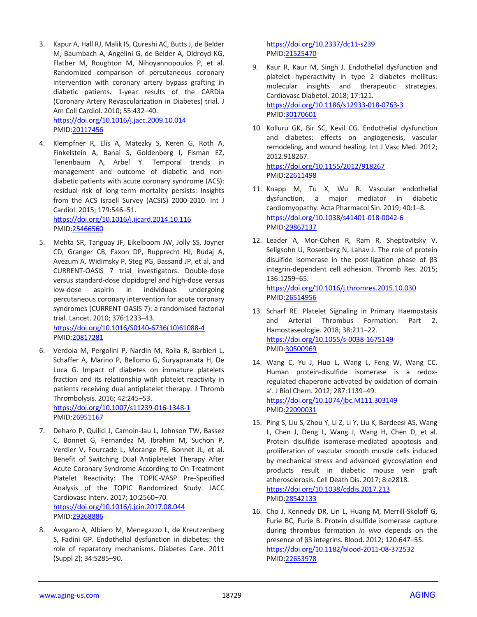3. Kapur A, Hall RJ, Malik IS, Qureshi AC, Butts J, de Belder M, Baumbach A, Angelini G, de Belder A, Oldroyd KG, Flather M, Roughton M, Nihoyannopoulos P, et al. Randomized comparison of percutaneous coronary intervention with coronary artery bypass grafting in diabetic patients. 1-year results of the CARDia (Coronary Artery Revascularization in Diabetes) trial. J Am Coll Cardiol. 2010; 55:432–40.

<https://doi.org/10.1016/j.jacc.2009.10.014> PMID[:20117456](https://pubmed.ncbi.nlm.nih.gov/20117456)

4. Klempfner R, Elis A, Matezky S, Keren G, Roth A, Finkelstein A, Banai S, Goldenberg I, Fisman EZ, Tenenbaum A, Arbel Y. Temporal trends in management and outcome of diabetic and nondiabetic patients with acute coronary syndrome (ACS): residual risk of long-term mortality persists: Insights from the ACS Israeli Survey (ACSIS) 2000-2010. Int J Cardiol. 2015; 179:546–51.

<https://doi.org/10.1016/j.ijcard.2014.10.116> PMID[:25466560](https://pubmed.ncbi.nlm.nih.gov/25466560)

- 5. Mehta SR, Tanguay JF, Eikelboom JW, Jolly SS, Joyner CD, Granger CB, Faxon DP, Rupprecht HJ, Budaj A, Avezum A, Widimsky P, Steg PG, Bassand JP, et al, and CURRENT-OASIS 7 trial investigators. Double-dose versus standard-dose clopidogrel and high-dose versus low-dose aspirin in individuals undergoing percutaneous coronary intervention for acute coronary syndromes (CURRENT-OASIS 7): a randomised factorial trial. Lancet. 2010; 376:1233–43. [https://doi.org/10.1016/S0140-6736\(10\)61088-4](https://doi.org/10.1016/S0140-6736(10)61088-4) PMID[:20817281](https://pubmed.ncbi.nlm.nih.gov/20817281)
- 6. Verdoia M, Pergolini P, Nardin M, Rolla R, Barbieri L, Schaffer A, Marino P, Bellomo G, Suryapranata H, De Luca G. Impact of diabetes on immature platelets fraction and its relationship with platelet reactivity in patients receiving dual antiplatelet therapy. J Thromb Thrombolysis. 2016; 42:245–53. <https://doi.org/10.1007/s11239-016-1348-1> PMID[:26951167](https://pubmed.ncbi.nlm.nih.gov/26951167)
- 7. Deharo P, Quilici J, Camoin-Jau L, Johnson TW, Bassez C, Bonnet G, Fernandez M, Ibrahim M, Suchon P, Verdier V, Fourcade L, Morange PE, Bonnet JL, et al. Benefit of Switching Dual Antiplatelet Therapy After Acute Coronary Syndrome According to On-Treatment Platelet Reactivity: The TOPIC-VASP Pre-Specified Analysis of the TOPIC Randomized Study. JACC Cardiovasc Interv. 2017; 10:2560–70. <https://doi.org/10.1016/j.jcin.2017.08.044> PMID[:29268886](https://pubmed.ncbi.nlm.nih.gov/29268886)
- 8. Avogaro A, Albiero M, Menegazzo L, de Kreutzenberg S, Fadini GP. Endothelial dysfunction in diabetes: the role of reparatory mechanisms. Diabetes Care. 2011 (Suppl 2); 34:S285–90.

<https://doi.org/10.2337/dc11-s239> PMI[D:21525470](https://pubmed.ncbi.nlm.nih.gov/21525470)

- 9. Kaur R, Kaur M, Singh J. Endothelial dysfunction and platelet hyperactivity in type 2 diabetes mellitus: molecular insights and therapeutic strategies. Cardiovasc Diabetol. 2018; 17:121. <https://doi.org/10.1186/s12933-018-0763-3> PMI[D:30170601](https://pubmed.ncbi.nlm.nih.gov/30170601)
- 10. Kolluru GK, Bir SC, Kevil CG. Endothelial dysfunction and diabetes: effects on angiogenesis, vascular remodeling, and wound healing. Int J Vasc Med. 2012; 2012:918267. <https://doi.org/10.1155/2012/918267> PMI[D:22611498](https://pubmed.ncbi.nlm.nih.gov/22611498)
- 11. Knapp M, Tu X, Wu R. Vascular endothelial dysfunction, a major mediator in diabetic cardiomyopathy. Acta Pharmacol Sin. 2019; 40:1–8. <https://doi.org/10.1038/s41401-018-0042-6> PMI[D:29867137](https://pubmed.ncbi.nlm.nih.gov/29867137)
- 12. Leader A, Mor-Cohen R, Ram R, Sheptovitsky V, Seligsohn U, Rosenberg N, Lahav J. The role of protein disulfide isomerase in the post-ligation phase of β3 integrin-dependent cell adhesion. Thromb Res. 2015; 136:1259–65. <https://doi.org/10.1016/j.thromres.2015.10.030>

PMI[D:26514956](https://pubmed.ncbi.nlm.nih.gov/26514956)

- 13. Scharf RE. Platelet Signaling in Primary Haemostasis and Arterial Thrombus Formation: Part 2. Hamostaseologie. 2018; 38:211–22. <https://doi.org/10.1055/s-0038-1675149> PMI[D:30500969](https://pubmed.ncbi.nlm.nih.gov/30500969)
- 14. Wang C, Yu J, Huo L, Wang L, Feng W, Wang CC. Human protein-disulfide isomerase is a redoxregulated chaperone activated by oxidation of domain a'. J Biol Chem. 2012; 287:1139–49. <https://doi.org/10.1074/jbc.M111.303149> PMI[D:22090031](https://pubmed.ncbi.nlm.nih.gov/22090031)
- 15. Ping S, Liu S, Zhou Y, Li Z, Li Y, Liu K, Bardeesi AS, Wang L, Chen J, Deng L, Wang J, Wang H, Chen D, et al. Protein disulfide isomerase-mediated apoptosis and proliferation of vascular smooth muscle cells induced by mechanical stress and advanced glycosylation end products result in diabetic mouse vein graft atherosclerosis. Cell Death Dis. 2017; 8:e2818. <https://doi.org/10.1038/cddis.2017.213> PMI[D:28542133](https://pubmed.ncbi.nlm.nih.gov/28542133)
- 16. Cho J, Kennedy DR, Lin L, Huang M, Merrill-Skoloff G, Furie BC, Furie B. Protein disulfide isomerase capture during thrombus formation *in vivo* depends on the presence of β3 integrins. Blood. 2012; 120:647–55. <https://doi.org/10.1182/blood-2011-08-372532> PMI[D:22653978](https://pubmed.ncbi.nlm.nih.gov/22653978)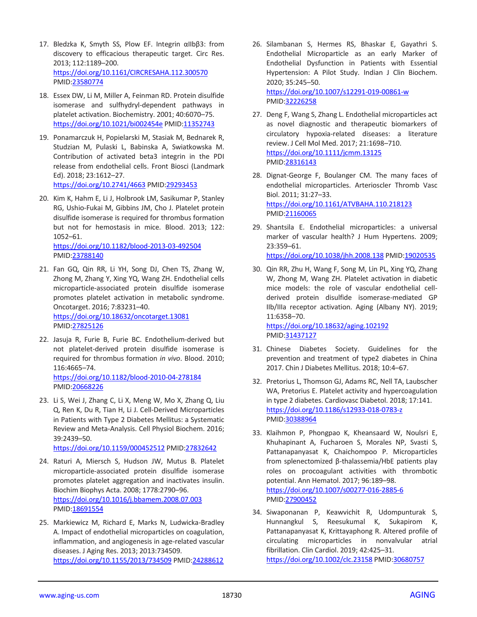- 17. Bledzka K, Smyth SS, Plow EF. Integrin αIIbβ3: from discovery to efficacious therapeutic target. Circ Res. 2013; 112:1189–200. <https://doi.org/10.1161/CIRCRESAHA.112.300570> PMID[:23580774](https://pubmed.ncbi.nlm.nih.gov/23580774)
- 18. Essex DW, Li M, Miller A, Feinman RD. Protein disulfide isomerase and sulfhydryl-dependent pathways in platelet activation. Biochemistry. 2001; 40:6070–75. <https://doi.org/10.1021/bi002454e> PMID[:11352743](https://pubmed.ncbi.nlm.nih.gov/11352743)
- 19. Ponamarczuk H, Popielarski M, Stasiak M, Bednarek R, Studzian M, Pulaski L, Babinska A, Swiatkowska M. Contribution of activated beta3 integrin in the PDI release from endothelial cells. Front Biosci (Landmark Ed). 2018; 23:1612–27. <https://doi.org/10.2741/4663> PMI[D:29293453](https://pubmed.ncbi.nlm.nih.gov/29293453)
- 20. Kim K, Hahm E, Li J, Holbrook LM, Sasikumar P, Stanley RG, Ushio-Fukai M, Gibbins JM, Cho J. Platelet protein disulfide isomerase is required for thrombus formation but not for hemostasis in mice. Blood. 2013; 122: 1052–61.

<https://doi.org/10.1182/blood-2013-03-492504> PMID[:23788140](https://pubmed.ncbi.nlm.nih.gov/23788140)

- 21. Fan GQ, Qin RR, Li YH, Song DJ, Chen TS, Zhang W, Zhong M, Zhang Y, Xing YQ, Wang ZH. Endothelial cells microparticle-associated protein disulfide isomerase promotes platelet activation in metabolic syndrome. Oncotarget. 2016; 7:83231–40. <https://doi.org/10.18632/oncotarget.13081> PMID[:27825126](https://pubmed.ncbi.nlm.nih.gov/27825126)
- 22. Jasuja R, Furie B, Furie BC. Endothelium-derived but not platelet-derived protein disulfide isomerase is required for thrombus formation *in vivo*. Blood. 2010; 116:4665–74. <https://doi.org/10.1182/blood-2010-04-278184>
- PMID[:20668226](https://pubmed.ncbi.nlm.nih.gov/20668226) 23. Li S, Wei J, Zhang C, Li X, Meng W, Mo X, Zhang Q, Liu
- Q, Ren K, Du R, Tian H, Li J. Cell-Derived Microparticles in Patients with Type 2 Diabetes Mellitus: a Systematic Review and Meta-Analysis. Cell Physiol Biochem. 2016; 39:2439–50.

<https://doi.org/10.1159/000452512> PMID[:27832642](https://pubmed.ncbi.nlm.nih.gov/27832642)

- 24. Raturi A, Miersch S, Hudson JW, Mutus B. Platelet microparticle-associated protein disulfide isomerase promotes platelet aggregation and inactivates insulin. Biochim Biophys Acta. 2008; 1778:2790–96. <https://doi.org/10.1016/j.bbamem.2008.07.003> PMID[:18691554](https://pubmed.ncbi.nlm.nih.gov/18691554)
- 25. Markiewicz M, Richard E, Marks N, Ludwicka-Bradley A. Impact of endothelial microparticles on coagulation, inflammation, and angiogenesis in age-related vascular diseases. J Aging Res. 2013; 2013:734509. <https://doi.org/10.1155/2013/734509> PMID[:24288612](https://pubmed.ncbi.nlm.nih.gov/24288612)
- 26. Silambanan S, Hermes RS, Bhaskar E, Gayathri S. Endothelial Microparticle as an early Marker of Endothelial Dysfunction in Patients with Essential Hypertension: A Pilot Study. Indian J Clin Biochem. 2020; 35:245–50. <https://doi.org/10.1007/s12291-019-00861-w> PMI[D:32226258](https://pubmed.ncbi.nlm.nih.gov/32226258)
- 27. Deng F, Wang S, Zhang L. Endothelial microparticles act as novel diagnostic and therapeutic biomarkers of circulatory hypoxia-related diseases: a literature review. J Cell Mol Med. 2017; 21:1698–710. <https://doi.org/10.1111/jcmm.13125> PMI[D:28316143](https://pubmed.ncbi.nlm.nih.gov/28316143)
- 28. Dignat-George F, Boulanger CM. The many faces of endothelial microparticles. Arterioscler Thromb Vasc Biol. 2011; 31:27–33. <https://doi.org/10.1161/ATVBAHA.110.218123> PMI[D:21160065](https://pubmed.ncbi.nlm.nih.gov/21160065)
- 29. Shantsila E. Endothelial microparticles: a universal marker of vascular health? J Hum Hypertens. 2009; 23:359–61. <https://doi.org/10.1038/jhh.2008.138> PMI[D:19020535](https://pubmed.ncbi.nlm.nih.gov/19020535)
- 30. Qin RR, Zhu H, Wang F, Song M, Lin PL, Xing YQ, Zhang W, Zhong M, Wang ZH. Platelet activation in diabetic mice models: the role of vascular endothelial cellderived protein disulfide isomerase-mediated GP IIb/IIIa receptor activation. Aging (Albany NY). 2019; 11:6358–70.

<https://doi.org/10.18632/aging.102192> PMI[D:31437127](https://pubmed.ncbi.nlm.nih.gov/31437127)

- 31. Chinese Diabetes Society. Guidelines for the prevention and treatment of type2 diabetes in China 2017. Chin J Diabetes Mellitus. 2018; 10:4–67.
- 32. Pretorius L, Thomson GJ, Adams RC, Nell TA, Laubscher WA, Pretorius E. Platelet activity and hypercoagulation in type 2 diabetes. Cardiovasc Diabetol. 2018; 17:141. <https://doi.org/10.1186/s12933-018-0783-z> PMI[D:30388964](https://pubmed.ncbi.nlm.nih.gov/30388964)
- 33. Klaihmon P, Phongpao K, Kheansaard W, Noulsri E, Khuhapinant A, Fucharoen S, Morales NP, Svasti S, Pattanapanyasat K, Chaichompoo P. Microparticles from splenectomized β-thalassemia/HbE patients play roles on procoagulant activities with thrombotic potential. Ann Hematol. 2017; 96:189–98. <https://doi.org/10.1007/s00277-016-2885-6> PMI[D:27900452](https://pubmed.ncbi.nlm.nih.gov/27900452)
- 34. Siwaponanan P, Keawvichit R, Udompunturak S, Hunnangkul S, Reesukumal K, Sukapirom K, Pattanapanyasat K, Krittayaphong R. Altered profile of circulating microparticles in nonvalvular atrial fibrillation. Clin Cardiol. 2019; 42:425–31. <https://doi.org/10.1002/clc.23158> PMID[:30680757](https://pubmed.ncbi.nlm.nih.gov/30680757)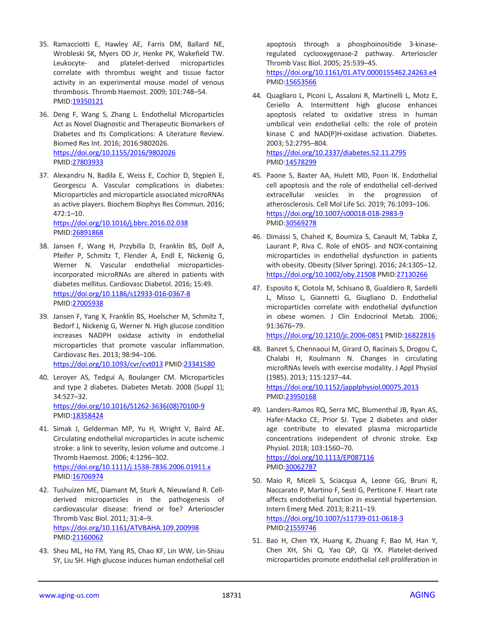- 35. Ramacciotti E, Hawley AE, Farris DM, Ballard NE, Wrobleski SK, Myers DD Jr, Henke PK, Wakefield TW. Leukocyte- and platelet-derived microparticles correlate with thrombus weight and tissue factor activity in an experimental mouse model of venous thrombosis. Thromb Haemost. 2009; 101:748–54. PMID[:19350121](https://pubmed.ncbi.nlm.nih.gov/19350121)
- 36. Deng F, Wang S, Zhang L. Endothelial Microparticles Act as Novel Diagnostic and Therapeutic Biomarkers of Diabetes and Its Complications: A Literature Review. Biomed Res Int. 2016; 2016:9802026. <https://doi.org/10.1155/2016/9802026> PMID[:27803933](https://pubmed.ncbi.nlm.nih.gov/27803933)
- 37. Alexandru N, Badila E, Weiss E, Cochior D, Stępień E, Georgescu A. Vascular complications in diabetes: Microparticles and microparticle associated microRNAs as active players. Biochem Biophys Res Commun. 2016; 472:1–10.

<https://doi.org/10.1016/j.bbrc.2016.02.038> PMID[:26891868](https://pubmed.ncbi.nlm.nih.gov/26891868)

- 38. Jansen F, Wang H, Przybilla D, Franklin BS, Dolf A, Pfeifer P, Schmitz T, Flender A, Endl E, Nickenig G, Werner N. Vascular endothelial microparticlesincorporated microRNAs are altered in patients with diabetes mellitus. Cardiovasc Diabetol. 2016; 15:49. <https://doi.org/10.1186/s12933-016-0367-8> PMID[:27005938](https://pubmed.ncbi.nlm.nih.gov/27005938)
- 39. Jansen F, Yang X, Franklin BS, Hoelscher M, Schmitz T, Bedorf J, Nickenig G, Werner N. High glucose condition increases NADPH oxidase activity in endothelial microparticles that promote vascular inflammation. Cardiovasc Res. 2013; 98:94–106. <https://doi.org/10.1093/cvr/cvt013> PMID[:23341580](https://pubmed.ncbi.nlm.nih.gov/23341580)
- 40. Leroyer AS, Tedgui A, Boulanger CM. Microparticles and type 2 diabetes. Diabetes Metab. 2008 (Suppl 1); 34:S27–32. [https://doi.org/10.1016/S1262-3636\(08\)70100-9](https://doi.org/10.1016/S1262-3636(08)70100-9) PMID[:18358424](https://pubmed.ncbi.nlm.nih.gov/18358424)
- 41. Simak J, Gelderman MP, Yu H, Wright V, Baird AE. Circulating endothelial microparticles in acute ischemic stroke: a link to severity, lesion volume and outcome. J Thromb Haemost. 2006; 4:1296–302. <https://doi.org/10.1111/j.1538-7836.2006.01911.x>

PMID[:16706974](https://pubmed.ncbi.nlm.nih.gov/16706974) 42. Tushuizen ME, Diamant M, Sturk A, Nieuwland R. Cellderived microparticles in the pathogenesis of cardiovascular disease: friend or foe? Arterioscler Thromb Vasc Biol. 2011; 31:4–9. <https://doi.org/10.1161/ATVBAHA.109.200998>

PMID[:21160062](https://pubmed.ncbi.nlm.nih.gov/21160062)

43. Sheu ML, Ho FM, Yang RS, Chao KF, Lin WW, Lin-Shiau SY, Liu SH. High glucose induces human endothelial cell

apoptosis through a phosphoinositide 3-kinaseregulated cyclooxygenase-2 pathway. Arterioscler Thromb Vasc Biol. 2005; 25:539–45. <https://doi.org/10.1161/01.ATV.0000155462.24263.e4> PMI[D:15653566](https://pubmed.ncbi.nlm.nih.gov/15653566)

44. Quagliaro L, Piconi L, Assaloni R, Martinelli L, Motz E, Ceriello A. Intermittent high glucose enhances apoptosis related to oxidative stress in human umbilical vein endothelial cells: the role of protein kinase C and NAD(P)H-oxidase activation. Diabetes. 2003; 52:2795–804. <https://doi.org/10.2337/diabetes.52.11.2795>

PMI[D:14578299](https://pubmed.ncbi.nlm.nih.gov/14578299)

- 45. Paone S, Baxter AA, Hulett MD, Poon IK. Endothelial cell apoptosis and the role of endothelial cell-derived extracellular vesicles in the progression of atherosclerosis. Cell Mol Life Sci. 2019; 76:1093–106. <https://doi.org/10.1007/s00018-018-2983-9> PMI[D:30569278](https://pubmed.ncbi.nlm.nih.gov/30569278)
- 46. Dimassi S, Chahed K, Boumiza S, Canault M, Tabka Z, Laurant P, Riva C. Role of eNOS- and NOX-containing microparticles in endothelial dysfunction in patients with obesity. Obesity (Silver Spring). 2016; 24:1305–12. <https://doi.org/10.1002/oby.21508> PMID[:27130266](https://pubmed.ncbi.nlm.nih.gov/27130266)
- 47. Esposito K, Ciotola M, Schisano B, Gualdiero R, Sardelli L, Misso L, Giannetti G, Giugliano D. Endothelial microparticles correlate with endothelial dysfunction in obese women. J Clin Endocrinol Metab. 2006; 91:3676–79.

<https://doi.org/10.1210/jc.2006-0851> PMID[:16822816](https://pubmed.ncbi.nlm.nih.gov/16822816)

- 48. Banzet S, Chennaoui M, Girard O, Racinais S, Drogou C, Chalabi H, Koulmann N. Changes in circulating microRNAs levels with exercise modality. J Appl Physiol (1985). 2013; 115:1237–44. <https://doi.org/10.1152/japplphysiol.00075.2013> PMI[D:23950168](https://pubmed.ncbi.nlm.nih.gov/23950168)
- 49. Landers-Ramos RQ, Serra MC, Blumenthal JB, Ryan AS, Hafer-Macko CE, Prior SJ. Type 2 diabetes and older age contribute to elevated plasma microparticle concentrations independent of chronic stroke. Exp Physiol. 2018; 103:1560–70. <https://doi.org/10.1113/EP087116>

PMI[D:30062787](https://pubmed.ncbi.nlm.nih.gov/30062787)

- 50. Maio R, Miceli S, Sciacqua A, Leone GG, Bruni R, Naccarato P, Martino F, Sesti G, Perticone F. Heart rate affects endothelial function in essential hypertension. Intern Emerg Med. 2013; 8:211–19. <https://doi.org/10.1007/s11739-011-0618-3> PMI[D:21559746](https://pubmed.ncbi.nlm.nih.gov/21559746)
- 51. Bao H, Chen YX, Huang K, Zhuang F, Bao M, Han Y, Chen XH, Shi Q, Yao QP, Qi YX. Platelet-derived microparticles promote endothelial cell proliferation in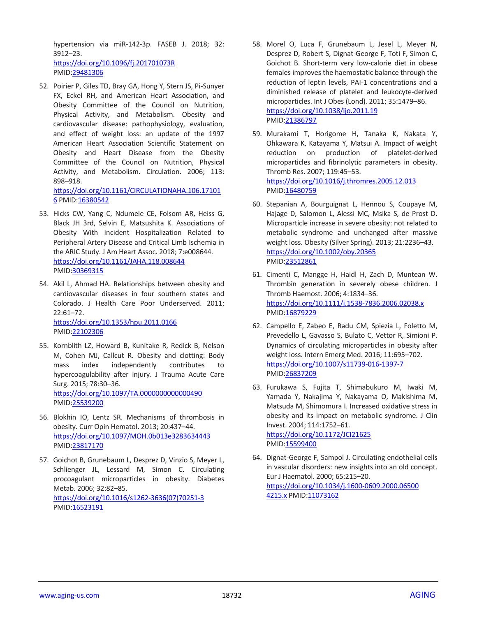hypertension via miR-142-3p. FASEB J. 2018; 32: 3912–23. <https://doi.org/10.1096/fj.201701073R>

PMID[:29481306](https://pubmed.ncbi.nlm.nih.gov/29481306)

52. Poirier P, Giles TD, Bray GA, Hong Y, Stern JS, Pi-Sunyer FX, Eckel RH, and American Heart Association, and Obesity Committee of the Council on Nutrition, Physical Activity, and Metabolism. Obesity and cardiovascular disease: pathophysiology, evaluation, and effect of weight loss: an update of the 1997 American Heart Association Scientific Statement on Obesity and Heart Disease from the Obesity Committee of the Council on Nutrition, Physical Activity, and Metabolism. Circulation. 2006; 113: 898–918.

[https://doi.org/10.1161/CIRCULATIONAHA.106.17101](https://doi.org/10.1161/CIRCULATIONAHA.106.171016) [6](https://doi.org/10.1161/CIRCULATIONAHA.106.171016) PMID[:16380542](https://pubmed.ncbi.nlm.nih.gov/16380542)

- 53. Hicks CW, Yang C, Ndumele CE, Folsom AR, Heiss G, Black JH 3rd, Selvin E, Matsushita K. Associations of Obesity With Incident Hospitalization Related to Peripheral Artery Disease and Critical Limb Ischemia in the ARIC Study. J Am Heart Assoc. 2018; 7:e008644. <https://doi.org/10.1161/JAHA.118.008644> PMID[:30369315](https://pubmed.ncbi.nlm.nih.gov/30369315)
- 54. Akil L, Ahmad HA. Relationships between obesity and cardiovascular diseases in four southern states and Colorado. J Health Care Poor Underserved. 2011; 22:61–72.

<https://doi.org/10.1353/hpu.2011.0166> PMID[:22102306](https://pubmed.ncbi.nlm.nih.gov/22102306)

- 55. Kornblith LZ, Howard B, Kunitake R, Redick B, Nelson M, Cohen MJ, Callcut R. Obesity and clotting: Body mass index independently contributes to hypercoagulability after injury. J Trauma Acute Care Surg. 2015; 78:30–36. <https://doi.org/10.1097/TA.0000000000000490> PMID[:25539200](https://pubmed.ncbi.nlm.nih.gov/25539200)
- 56. Blokhin IO, Lentz SR. Mechanisms of thrombosis in obesity. Curr Opin Hematol. 2013; 20:437–44. <https://doi.org/10.1097/MOH.0b013e3283634443> PMID[:23817170](https://pubmed.ncbi.nlm.nih.gov/23817170)
- 57. Goichot B, Grunebaum L, Desprez D, Vinzio S, Meyer L, Schlienger JL, Lessard M, Simon C. Circulating procoagulant microparticles in obesity. Diabetes Metab. 2006; 32:82–85. [https://doi.org/10.1016/s1262-3636\(07\)70251-3](https://doi.org/10.1016/s1262-3636(07)70251-3) PMID[:16523191](https://pubmed.ncbi.nlm.nih.gov/16523191)
- 58. Morel O, Luca F, Grunebaum L, Jesel L, Meyer N, Desprez D, Robert S, Dignat-George F, Toti F, Simon C, Goichot B. Short-term very low-calorie diet in obese females improves the haemostatic balance through the reduction of leptin levels, PAI-1 concentrations and a diminished release of platelet and leukocyte-derived microparticles. Int J Obes (Lond). 2011; 35:1479–86. <https://doi.org/10.1038/ijo.2011.19> PMI[D:21386797](https://pubmed.ncbi.nlm.nih.gov/21386797)
- 59. Murakami T, Horigome H, Tanaka K, Nakata Y, Ohkawara K, Katayama Y, Matsui A. Impact of weight reduction on production of platelet-derived microparticles and fibrinolytic parameters in obesity. Thromb Res. 2007; 119:45–53. <https://doi.org/10.1016/j.thromres.2005.12.013> PMI[D:16480759](https://pubmed.ncbi.nlm.nih.gov/16480759)
- 60. Stepanian A, Bourguignat L, Hennou S, Coupaye M, Hajage D, Salomon L, Alessi MC, Msika S, de Prost D. Microparticle increase in severe obesity: not related to metabolic syndrome and unchanged after massive weight loss. Obesity (Silver Spring). 2013; 21:2236–43. <https://doi.org/10.1002/oby.20365> PMI[D:23512861](https://pubmed.ncbi.nlm.nih.gov/23512861)
- 61. Cimenti C, Mangge H, Haidl H, Zach D, Muntean W. Thrombin generation in severely obese children. J Thromb Haemost. 2006; 4:1834–36. <https://doi.org/10.1111/j.1538-7836.2006.02038.x> PMI[D:16879229](https://pubmed.ncbi.nlm.nih.gov/16879229)
- 62. Campello E, Zabeo E, Radu CM, Spiezia L, Foletto M, Prevedello L, Gavasso S, Bulato C, Vettor R, Simioni P. Dynamics of circulating microparticles in obesity after weight loss. Intern Emerg Med. 2016; 11:695–702. <https://doi.org/10.1007/s11739-016-1397-7> PMI[D:26837209](https://pubmed.ncbi.nlm.nih.gov/26837209)
- 63. Furukawa S, Fujita T, Shimabukuro M, Iwaki M, Yamada Y, Nakajima Y, Nakayama O, Makishima M, Matsuda M, Shimomura I. Increased oxidative stress in obesity and its impact on metabolic syndrome. J Clin Invest. 2004; 114:1752–61. <https://doi.org/10.1172/JCI21625> PMI[D:15599400](https://pubmed.ncbi.nlm.nih.gov/15599400)
- 64. Dignat-George F, Sampol J. Circulating endothelial cells in vascular disorders: new insights into an old concept. Eur J Haematol. 2000; 65:215–20. [https://doi.org/10.1034/j.1600-0609.2000.06500](https://doi.org/10.1034/j.1600-0609.2000.065004215.x) [4215.x](https://doi.org/10.1034/j.1600-0609.2000.065004215.x) PMID[:11073162](https://pubmed.ncbi.nlm.nih.gov/11073162)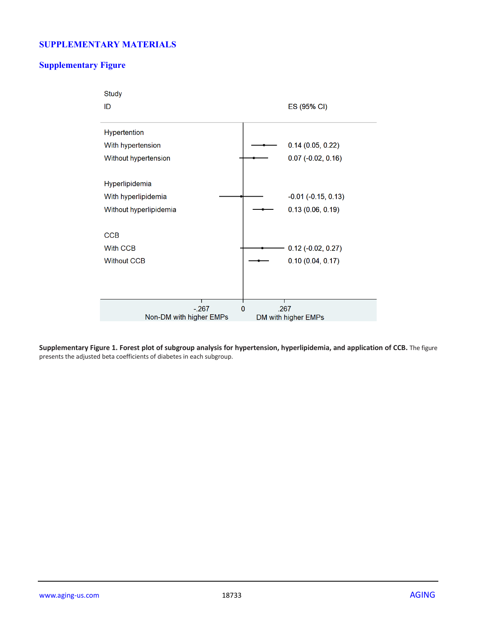## **SUPPLEMENTARY MATERIALS**

## **Supplementary Figure**



**Supplementary Figure 1. Forest plot of subgroup analysis for hypertension, hyperlipidemia, and application of CCB.** The figure presents the adjusted beta coefficients of diabetes in each subgroup.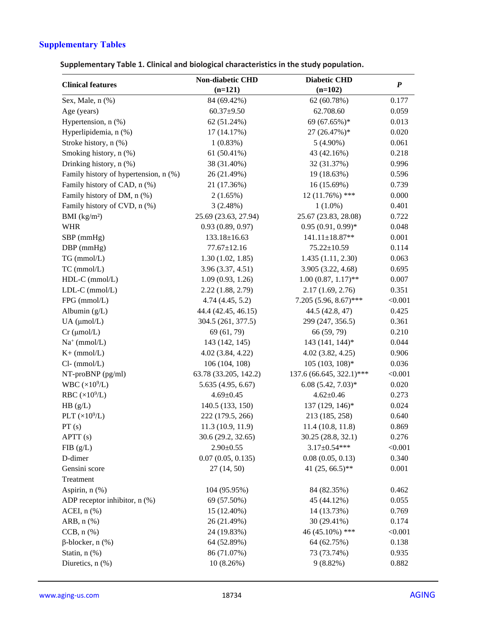# **Supplementary Tables**

**Supplementary Table 1. Clinical and biological characteristics in the study population.**

|                                       | <b>Non-diabetic CHD</b> | <b>Diabetic CHD</b>      | $\boldsymbol{P}$ |
|---------------------------------------|-------------------------|--------------------------|------------------|
| <b>Clinical features</b>              | $(n=121)$               | $(n=102)$                |                  |
| Sex, Male, n (%)                      | 84 (69.42%)             | 62 (60.78%)              | 0.177            |
| Age (years)                           | $60.37 + 9.50$          | 62.708.60                | 0.059            |
| Hypertension, n (%)                   | 62 (51.24%)             | 69 (67.65%)*             | 0.013            |
| Hyperlipidemia, n (%)                 | 17 (14.17%)             | 27 (26.47%)*             | 0.020            |
| Stroke history, n (%)                 | 1(0.83%)                | $5(4.90\%)$              | 0.061            |
| Smoking history, n (%)                | 61 (50.41%)             | 43 (42.16%)              | 0.218            |
| Drinking history, n (%)               | 38 (31.40%)             | 32 (31.37%)              | 0.996            |
| Family history of hypertension, n (%) | 26 (21.49%)             | 19 (18.63%)              | 0.596            |
| Family history of CAD, n (%)          | 21 (17.36%)             | 16 (15.69%)              | 0.739            |
| Family history of DM, n (%)           | 2(1.65%)                | $12(11.76\%)$ ***        | 0.000            |
| Family history of CVD, n (%)          | 3(2.48%)                | $1(1.0\%)$               | 0.401            |
| BMI $(kg/m2)$                         | 25.69 (23.63, 27.94)    | 25.67 (23.83, 28.08)     | 0.722            |
| <b>WHR</b>                            | 0.93(0.89, 0.97)        | $0.95(0.91, 0.99)$ *     | 0.048            |
| SBP (mmHg)                            | $133.18 \pm 16.63$      | $141.11 \pm 18.87**$     | 0.001            |
| $DBP$ (mmHg)                          | $77.67 \pm 12.16$       | $75.22 \pm 10.59$        | 0.114            |
| TG (mmol/L)                           | 1.30(1.02, 1.85)        | 1.435 (1.11, 2.30)       | 0.063            |
| TC (mmol/L)                           | 3.96 (3.37, 4.51)       | 3.905 (3.22, 4.68)       | 0.695            |
| HDL-C (mmol/L)                        | 1.09(0.93, 1.26)        | $1.00(0.87, 1.17)$ **    | 0.007            |
| $LDL-C$ (mmol/ $L$ )                  | 2.22 (1.88, 2.79)       | 2.17(1.69, 2.76)         | 0.351            |
| FPG (mmol/L)                          | 4.74(4.45, 5.2)         | $7.205(5.96, 8.67)$ ***  | < 0.001          |
| Albumin (g/L)                         | 44.4 (42.45, 46.15)     | 44.5 (42.8, 47)          | 0.425            |
| $UA$ ( $\mu$ mol/L)                   | 304.5 (261, 377.5)      | 299 (247, 356.5)         | 0.361            |
| $Cr$ ( $\mu$ mol/L)                   | 69 (61, 79)             | 66 (59, 79)              | 0.210            |
| $Na^+$ (mmol/L)                       | 143 (142, 145)          | 143 (141, 144)*          | 0.044            |
| $K+$ (mmol/L)                         | 4.02 (3.84, 4.22)       | $4.02$ $(3.82, 4.25)$    | 0.906            |
| $Cl$ - (mmol/L)                       | 106 (104, 108)          | $105(103, 108)*$         | 0.036            |
| $NT-proBNP$ (pg/ml)                   | 63.78 (33.205, 142.2)   | 137.6 (66.645, 322.1)*** | < 0.001          |
| WBC $(\times 10^9$ /L)                | 5.635 (4.95, 6.67)      | $6.08(5.42, 7.03)*$      | 0.020            |
| RBC $(\times 10^9$ /L)                | $4.69 \pm 0.45$         | $4.62 \pm 0.46$          | 0.273            |
| HB (g/L)                              | 140.5 (133, 150)        | 137 (129, 146)*          | 0.024            |
| PLT $(\times 10^9$ /L)                | 222 (179.5, 266)        | 213 (185, 258)           | 0.640            |
| PT(s)                                 | 11.3(10.9, 11.9)        | 11.4 (10.8, 11.8)        | 0.869            |
| APTT (s)                              | 30.6 (29.2, 32.65)      | 30.25 (28.8, 32.1)       | 0.276            |
| FIB(g/L)                              | $2.90 \pm 0.55$         | $3.17 \pm 0.54$ ***      | < 0.001          |
| D-dimer                               | 0.07(0.05, 0.135)       | 0.08(0.05, 0.13)         | 0.340            |
| Gensini score                         | 27(14, 50)              | 41 $(25, 66.5)$ **       | 0.001            |
| Treatment                             |                         |                          |                  |
| Aspirin, n (%)                        | 104 (95.95%)            | 84 (82.35%)              | 0.462            |
| ADP receptor inhibitor, $n$ (%)       | 69 (57.50%)             | 45 (44.12%)              | 0.055            |
| ACEI, $n$ $%$                         | 15 (12.40%)             | 14 (13.73%)              | 0.769            |
| ARB, $n$ $%$                          | 26 (21.49%)             | 30 (29.41%)              | 0.174            |
| $CCB, n$ $%$                          | 24 (19.83%)             | 46 (45.10%) ***          | < 0.001          |
| $\beta$ -blocker, n $(\%)$            | 64 (52.89%)             | 64 (62.75%)              | 0.138            |
| Statin, n (%)                         | 86 (71.07%)             | 73 (73.74%)              | 0.935            |
| Diuretics, n (%)                      | 10(8.26%)               | $9(8.82\%)$              | 0.882            |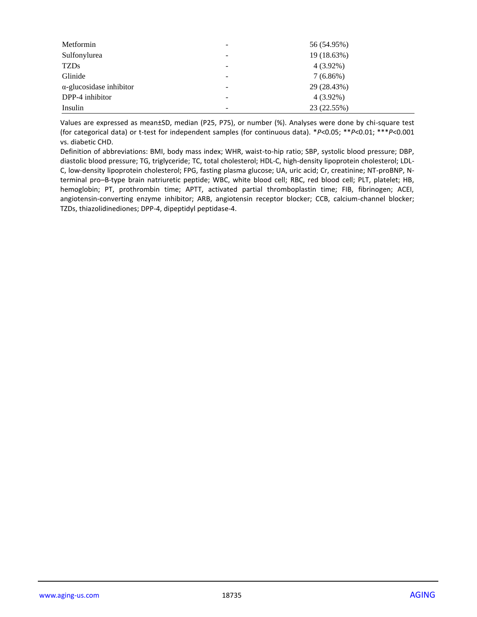| Metformin                       |                          | 56 (54.95%) |
|---------------------------------|--------------------------|-------------|
| Sulfonylurea                    |                          | 19 (18.63%) |
| <b>TZDs</b>                     | -                        | $4(3.92\%)$ |
| Glinide                         |                          | $7(6.86\%)$ |
| $\alpha$ -glucosidase inhibitor |                          | 29 (28.43%) |
| DPP-4 inhibitor                 |                          | $4(3.92\%)$ |
| Insulin                         | $\overline{\phantom{a}}$ | 23 (22.55%) |

Values are expressed as mean±SD, median (P25, P75), or number (%). Analyses were done by chi-square test (for categorical data) or t-test for independent samples (for continuous data). \**P*<0.05; \*\**P*<0.01; \*\*\**P*<0.001 vs. diabetic CHD.

Definition of abbreviations: BMI, body mass index; WHR, waist-to-hip ratio; SBP, systolic blood pressure; DBP, diastolic blood pressure; TG, triglyceride; TC, total cholesterol; HDL-C, high-density lipoprotein cholesterol; LDL-C, low-density lipoprotein cholesterol; FPG, fasting plasma glucose; UA, uric acid; Cr, creatinine; NT-proBNP, Nterminal pro–B-type brain natriuretic peptide; WBC, white blood cell; RBC, red blood cell; PLT, platelet; HB, hemoglobin; PT, prothrombin time; APTT, activated partial thromboplastin time; FIB, fibrinogen; ACEI, angiotensin-converting enzyme inhibitor; ARB, angiotensin receptor blocker; CCB, calcium-channel blocker; TZDs, thiazolidinediones; DPP-4, dipeptidyl peptidase-4.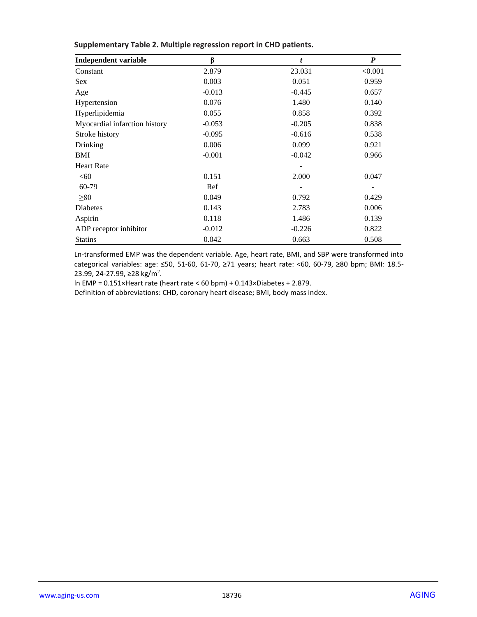| <b>Independent variable</b>   | β        | t        | $\boldsymbol{P}$ |
|-------------------------------|----------|----------|------------------|
| Constant                      | 2.879    | 23.031   | < 0.001          |
| <b>Sex</b>                    | 0.003    | 0.051    | 0.959            |
| Age                           | $-0.013$ | $-0.445$ | 0.657            |
| Hypertension                  | 0.076    | 1.480    | 0.140            |
| Hyperlipidemia                | 0.055    | 0.858    | 0.392            |
| Myocardial infarction history | $-0.053$ | $-0.205$ | 0.838            |
| Stroke history                | $-0.095$ | $-0.616$ | 0.538            |
| Drinking                      | 0.006    | 0.099    | 0.921            |
| BMI                           | $-0.001$ | $-0.042$ | 0.966            |
| <b>Heart Rate</b>             |          |          |                  |
| <60                           | 0.151    | 2.000    | 0.047            |
| 60-79                         | Ref      |          |                  |
| $\geq 80$                     | 0.049    | 0.792    | 0.429            |
| <b>Diabetes</b>               | 0.143    | 2.783    | 0.006            |
| Aspirin                       | 0.118    | 1.486    | 0.139            |
| ADP receptor inhibitor        | $-0.012$ | $-0.226$ | 0.822            |
| <b>Statins</b>                | 0.042    | 0.663    | 0.508            |

#### **Supplementary Table 2. Multiple regression report in CHD patients.**

Ln-transformed EMP was the dependent variable. Age, heart rate, BMI, and SBP were transformed into categorical variables: age: ≤50, 51-60, 61-70, ≥71 years; heart rate: <60, 60-79, ≥80 bpm; BMI: 18.5- 23.99, 24-27.99, ≥28 kg/m<sup>2</sup>.

ln EMP = 0.151×Heart rate (heart rate < 60 bpm) + 0.143×Diabetes + 2.879.

Definition of abbreviations: CHD, coronary heart disease; BMI, body mass index.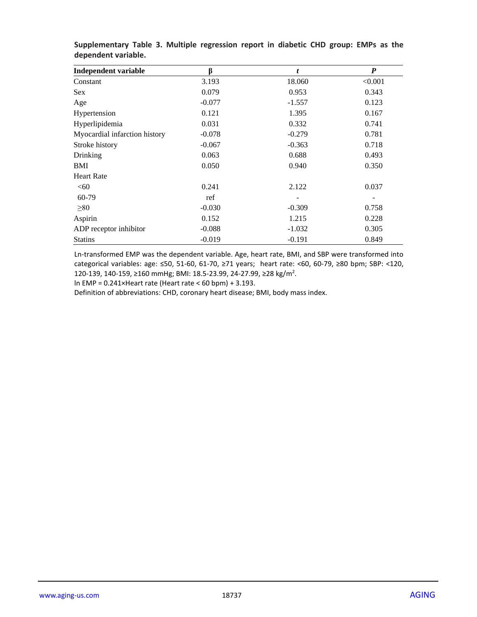| <b>Independent variable</b>   | ß        | t        | $\boldsymbol{P}$ |
|-------------------------------|----------|----------|------------------|
| Constant                      | 3.193    | 18.060   | < 0.001          |
| <b>Sex</b>                    | 0.079    | 0.953    | 0.343            |
| Age                           | $-0.077$ | $-1.557$ | 0.123            |
| Hypertension                  | 0.121    | 1.395    | 0.167            |
| Hyperlipidemia                | 0.031    | 0.332    | 0.741            |
| Myocardial infarction history | $-0.078$ | $-0.279$ | 0.781            |
| Stroke history                | $-0.067$ | $-0.363$ | 0.718            |
| Drinking                      | 0.063    | 0.688    | 0.493            |
| BMI                           | 0.050    | 0.940    | 0.350            |
| <b>Heart Rate</b>             |          |          |                  |
| <60                           | 0.241    | 2.122    | 0.037            |
| 60-79                         | ref      |          |                  |
| $\geq 80$                     | $-0.030$ | $-0.309$ | 0.758            |
| Aspirin                       | 0.152    | 1.215    | 0.228            |
| ADP receptor inhibitor        | $-0.088$ | $-1.032$ | 0.305            |
| <b>Statins</b>                | $-0.019$ | $-0.191$ | 0.849            |

**Supplementary Table 3. Multiple regression report in diabetic CHD group: EMPs as the dependent variable.**

Ln-transformed EMP was the dependent variable. Age, heart rate, BMI, and SBP were transformed into categorical variables: age: ≤50, 51-60, 61-70, ≥71 years; heart rate: <60, 60-79, ≥80 bpm; SBP: <120, 120-139, 140-159, ≥160 mmHg; BMI: 18.5-23.99, 24-27.99, ≥28 kg/m<sup>2</sup>.

ln EMP = 0.241×Heart rate (Heart rate < 60 bpm) + 3.193.

Definition of abbreviations: CHD, coronary heart disease; BMI, body mass index.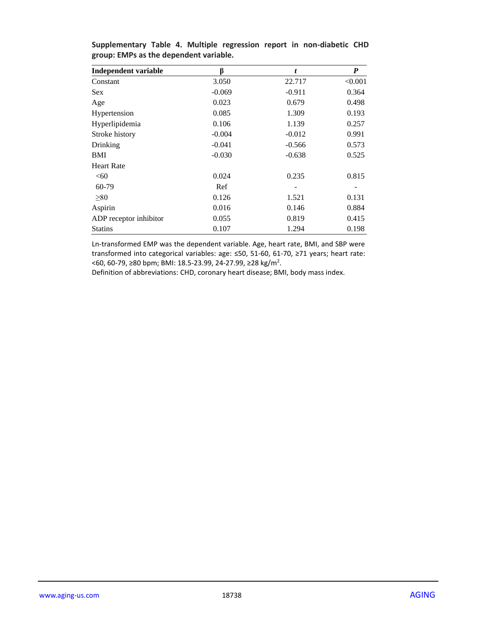| <b>Independent variable</b> | β        | t        | $\boldsymbol{P}$ |
|-----------------------------|----------|----------|------------------|
| Constant                    | 3.050    | 22.717   | < 0.001          |
| <b>Sex</b>                  | $-0.069$ | $-0.911$ | 0.364            |
| Age                         | 0.023    | 0.679    | 0.498            |
| Hypertension                | 0.085    | 1.309    | 0.193            |
| Hyperlipidemia              | 0.106    | 1.139    | 0.257            |
| Stroke history              | $-0.004$ | $-0.012$ | 0.991            |
| Drinking                    | $-0.041$ | $-0.566$ | 0.573            |
| BMI                         | $-0.030$ | $-0.638$ | 0.525            |
| <b>Heart Rate</b>           |          |          |                  |
| <60                         | 0.024    | 0.235    | 0.815            |
| 60-79                       | Ref      |          |                  |
| > 80                        | 0.126    | 1.521    | 0.131            |
| Aspirin                     | 0.016    | 0.146    | 0.884            |
| ADP receptor inhibitor      | 0.055    | 0.819    | 0.415            |
| <b>Statins</b>              | 0.107    | 1.294    | 0.198            |

**Supplementary Table 4. Multiple regression report in non-diabetic CHD group: EMPs as the dependent variable.**

Ln-transformed EMP was the dependent variable. Age, heart rate, BMI, and SBP were transformed into categorical variables: age: ≤50, 51-60, 61-70, ≥71 years; heart rate: <60, 60-79, ≥80 bpm; BMI: 18.5-23.99, 24-27.99, ≥28 kg/m<sup>2</sup>.

Definition of abbreviations: CHD, coronary heart disease; BMI, body mass index.